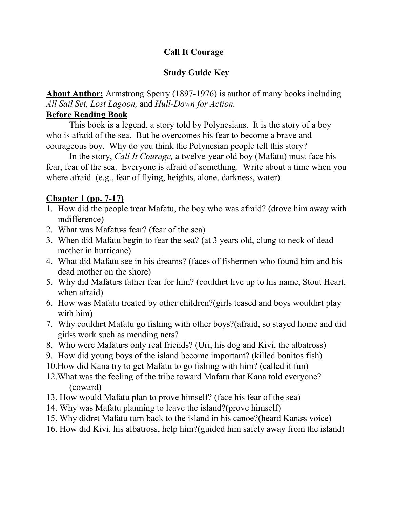## **Call It Courage**

#### **Study Guide Key**

**About Author:** Armstrong Sperry (1897-1976) is author of many books including *All Sail Set, Lost Lagoon,* and *Hull-Down for Action.*

#### **Before Reading Book**

This book is a legend, a story told by Polynesians. It is the story of a boy who is afraid of the sea. But he overcomes his fear to become a brave and courageous boy. Why do you think the Polynesian people tell this story?

In the story, *Call It Courage,* a twelve-year old boy (Mafatu) must face his fear, fear of the sea. Everyone is afraid of something. Write about a time when you where afraid. (e.g., fear of flying, heights, alone, darkness, water)

#### **Chapter 1 (pp. 7-17)**

- 1. How did the people treat Mafatu, the boy who was afraid? (drove him away with indifference)
- 2. What was Mafatu=s fear? (fear of the sea)
- 3. When did Mafatu begin to fear the sea? (at 3 years old, clung to neck of dead mother in hurricane)
- 4. What did Mafatu see in his dreams? (faces of fishermen who found him and his dead mother on the shore)
- 5. Why did Mafatu=s father fear for him? (couldn=t live up to his name, Stout Heart, when afraid)
- 6. How was Mafatu treated by other children?(girls teased and boys wouldnet play with him)
- 7. Why couldn=t Mafatu go fishing with other boys?(afraid, so stayed home and did girl=s work such as mending nets?
- 8. Who were Mafatu=s only real friends? (Uri, his dog and Kivi, the albatross)
- 9. How did young boys of the island become important? (killed bonitos fish)
- 10.How did Kana try to get Mafatu to go fishing with him? (called it fun)
- 12.What was the feeling of the tribe toward Mafatu that Kana told everyone? (coward)
- 13. How would Mafatu plan to prove himself? (face his fear of the sea)
- 14. Why was Mafatu planning to leave the island?(prove himself)
- 15. Why didn=t Mafatu turn back to the island in his canoe?(heard Kana=s voice)
- 16. How did Kivi, his albatross, help him?(guided him safely away from the island)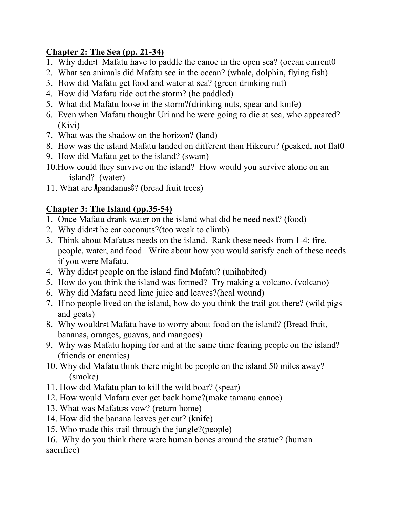# **Chapter 2: The Sea (pp. 21-34)**

- 1. Why didn=t Mafatu have to paddle the canoe in the open sea? (ocean current0
- 2. What sea animals did Mafatu see in the ocean? (whale, dolphin, flying fish)
- 3. How did Mafatu get food and water at sea? (green drinking nut)
- 4. How did Mafatu ride out the storm? (he paddled)
- 5. What did Mafatu loose in the storm?(drinking nuts, spear and knife)
- 6. Even when Mafatu thought Uri and he were going to die at sea, who appeared? (Kivi)
- 7. What was the shadow on the horizon? (land)
- 8. How was the island Mafatu landed on different than Hikeuru? (peaked, not flat0
- 9. How did Mafatu get to the island? (swam)
- 10.How could they survive on the island? How would you survive alone on an island? (water)
- 11. What are Apandanus@? (bread fruit trees)

# **Chapter 3: The Island (pp.35-54)**

- 1. Once Mafatu drank water on the island what did he need next? (food)
- 2. Why didn=t he eat coconuts?(too weak to climb)
- 3. Think about Mafatu=s needs on the island. Rank these needs from 1-4: fire, people, water, and food. Write about how you would satisfy each of these needs if you were Mafatu.
- 4. Why didn=t people on the island find Mafatu? (unihabited)
- 5. How do you think the island was formed? Try making a volcano. (volcano)
- 6. Why did Mafatu need lime juice and leaves?(heal wound)
- 7. If no people lived on the island, how do you think the trail got there? (wild pigs and goats)
- 8. Why wouldn=t Mafatu have to worry about food on the island? (Bread fruit, bananas, oranges, guavas, and mangoes)
- 9. Why was Mafatu hoping for and at the same time fearing people on the island? (friends or enemies)
- 10. Why did Mafatu think there might be people on the island 50 miles away? (smoke)
- 11. How did Mafatu plan to kill the wild boar? (spear)
- 12. How would Mafatu ever get back home?(make tamanu canoe)
- 13. What was Mafatu=s vow? (return home)
- 14. How did the banana leaves get cut? (knife)
- 15. Who made this trail through the jungle?(people)

16. Why do you think there were human bones around the statue? (human sacrifice)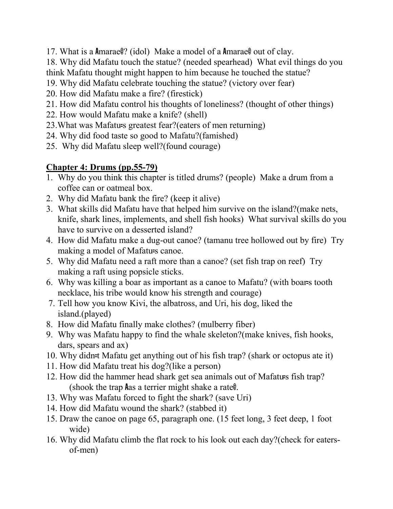17. What is a Amarae@? (idol) Make a model of a Amarae@ out of clay.

18. Why did Mafatu touch the statue? (needed spearhead) What evil things do you think Mafatu thought might happen to him because he touched the statue?

- 19. Why did Mafatu celebrate touching the statue? (victory over fear)
- 20. How did Mafatu make a fire? (firestick)
- 21. How did Mafatu control his thoughts of loneliness? (thought of other things)
- 22. How would Mafatu make a knife? (shell)
- 23.What was Mafatu=s greatest fear?(eaters of men returning)
- 24. Why did food taste so good to Mafatu?(famished)
- 25. Why did Mafatu sleep well?(found courage)

# **Chapter 4: Drums (pp.55-79)**

- 1. Why do you think this chapter is titled drums? (people) Make a drum from a coffee can or oatmeal box.
- 2. Why did Mafatu bank the fire? (keep it alive)
- 3. What skills did Mafatu have that helped him survive on the island?(make nets, knife, shark lines, implements, and shell fish hooks) What survival skills do you have to survive on a desserted island?
- 4. How did Mafatu make a dug-out canoe? (tamanu tree hollowed out by fire) Try making a model of Mafatu=s canoe.
- 5. Why did Mafatu need a raft more than a canoe? (set fish trap on reef) Try making a raft using popsicle sticks.
- 6. Why was killing a boar as important as a canoe to Mafatu? (with boar=s tooth necklace, his tribe would know his strength and courage)
- 7. Tell how you know Kivi, the albatross, and Uri, his dog, liked the island.(played)
- 8. How did Mafatu finally make clothes? (mulberry fiber)
- 9. Why was Mafatu happy to find the whale skeleton?(make knives, fish hooks, dars, spears and ax)
- 10. Why didn=t Mafatu get anything out of his fish trap? (shark or octopus ate it)
- 11. How did Mafatu treat his dog?(like a person)
- 12. How did the hammer head shark get sea animals out of Mafatu=s fish trap? (shook the trap Aas a terrier might shake a rate@.
- 13. Why was Mafatu forced to fight the shark? (save Uri)
- 14. How did Mafatu wound the shark? (stabbed it)
- 15. Draw the canoe on page 65, paragraph one. (15 feet long, 3 feet deep, 1 foot wide)
- 16. Why did Mafatu climb the flat rock to his look out each day?(check for eatersof-men)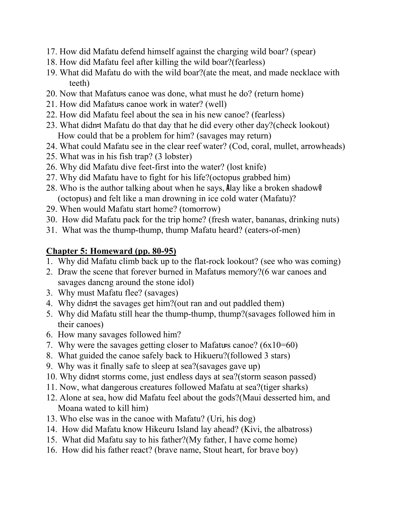- 17. How did Mafatu defend himself against the charging wild boar? (spear)
- 18. How did Mafatu feel after killing the wild boar?(fearless)
- 19. What did Mafatu do with the wild boar?(ate the meat, and made necklace with teeth)
- 20. Now that Mafatu=s canoe was done, what must he do? (return home)
- 21. How did Mafatu=s canoe work in water? (well)
- 22. How did Mafatu feel about the sea in his new canoe? (fearless)
- 23. What didn=t Mafatu do that day that he did every other day?(check lookout) How could that be a problem for him? (savages may return)
- 24. What could Mafatu see in the clear reef water? (Cod, coral, mullet, arrowheads)
- 25. What was in his fish trap? (3 lobster)
- 26. Why did Mafatu dive feet-first into the water? (lost knife)
- 27. Why did Mafatu have to fight for his life?(octopus grabbed him)
- 28. Who is the author talking about when he says, Alay like a broken shadow@ (octopus) and felt like a man drowning in ice cold water (Mafatu)?
- 29. When would Mafatu start home? (tomorrow)
- 30. How did Mafatu pack for the trip home? (fresh water, bananas, drinking nuts)
- 31. What was the thump-thump, thump Mafatu heard? (eaters-of-men)

## **Chapter 5: Homeward (pp. 80-95)**

- 1. Why did Mafatu climb back up to the flat-rock lookout? (see who was coming)
- 2. Draw the scene that forever burned in Mafatu=s memory?(6 war canoes and savages dancng around the stone idol)
- 3. Why must Mafatu flee? (savages)
- 4. Why didn=t the savages get him?(out ran and out paddled them)
- 5. Why did Mafatu still hear the thump-thump, thump?(savages followed him in their canoes)
- 6. How many savages followed him?
- 7. Why were the savages getting closer to Mafatu=s canoe? (6x10=60)
- 8. What guided the canoe safely back to Hikueru?(followed 3 stars)
- 9. Why was it finally safe to sleep at sea?(savages gave up)
- 10. Why didn=t storms come, just endless days at sea?(storm season passed)
- 11. Now, what dangerous creatures followed Mafatu at sea?(tiger sharks)
- 12. Alone at sea, how did Mafatu feel about the gods?(Maui desserted him, and Moana wated to kill him)
- 13. Who else was in the canoe with Mafatu? (Uri, his dog)
- 14. How did Mafatu know Hikeuru Island lay ahead? (Kivi, the albatross)
- 15. What did Mafatu say to his father?(My father, I have come home)
- 16. How did his father react? (brave name, Stout heart, for brave boy)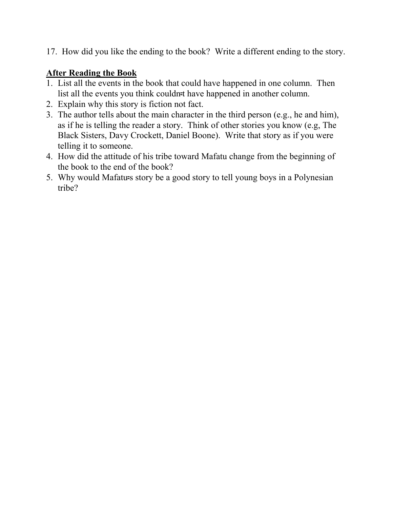17. How did you like the ending to the book? Write a different ending to the story.

#### **After Reading the Book**

- 1. List all the events in the book that could have happened in one column. Then list all the events you think couldn-t have happened in another column.
- 2. Explain why this story is fiction not fact.
- 3. The author tells about the main character in the third person (e.g., he and him), as if he is telling the reader a story. Think of other stories you know (e.g, The Black Sisters, Davy Crockett, Daniel Boone). Write that story as if you were telling it to someone.
- 4. How did the attitude of his tribe toward Mafatu change from the beginning of the book to the end of the book?
- 5. Why would Mafatu=s story be a good story to tell young boys in a Polynesian tribe?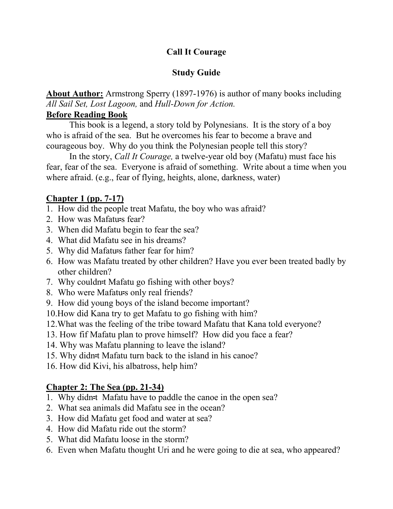# **Call It Courage**

# **Study Guide**

**About Author:** Armstrong Sperry (1897-1976) is author of many books including *All Sail Set, Lost Lagoon,* and *Hull-Down for Action.*

#### **Before Reading Book**

This book is a legend, a story told by Polynesians. It is the story of a boy who is afraid of the sea. But he overcomes his fear to become a brave and courageous boy. Why do you think the Polynesian people tell this story?

In the story, *Call It Courage,* a twelve-year old boy (Mafatu) must face his fear, fear of the sea. Everyone is afraid of something. Write about a time when you where afraid. (e.g., fear of flying, heights, alone, darkness, water)

## **Chapter 1 (pp. 7-17)**

- 1. How did the people treat Mafatu, the boy who was afraid?
- 2. How was Mafatu=s fear?
- 3. When did Mafatu begin to fear the sea?
- 4. What did Mafatu see in his dreams?
- 5. Why did Mafatu=s father fear for him?
- 6. How was Mafatu treated by other children? Have you ever been treated badly by other children?
- 7. Why couldn=t Mafatu go fishing with other boys?
- 8. Who were Mafatu=s only real friends?
- 9. How did young boys of the island become important?
- 10.How did Kana try to get Mafatu to go fishing with him?
- 12.What was the feeling of the tribe toward Mafatu that Kana told everyone?
- 13. How fif Mafatu plan to prove himself? How did you face a fear?
- 14. Why was Mafatu planning to leave the island?
- 15. Why didn=t Mafatu turn back to the island in his canoe?
- 16. How did Kivi, his albatross, help him?

## **Chapter 2: The Sea (pp. 21-34)**

- 1. Why didn-t Mafatu have to paddle the canoe in the open sea?
- 2. What sea animals did Mafatu see in the ocean?
- 3. How did Mafatu get food and water at sea?
- 4. How did Mafatu ride out the storm?
- 5. What did Mafatu loose in the storm?
- 6. Even when Mafatu thought Uri and he were going to die at sea, who appeared?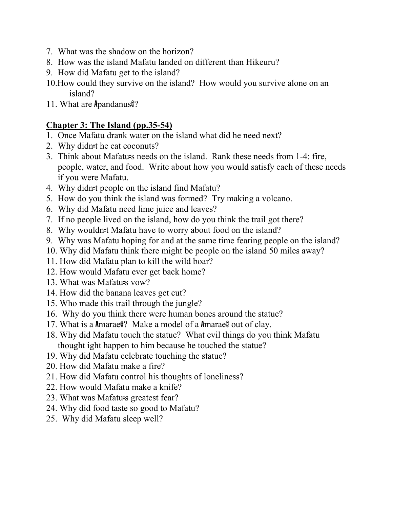- 7. What was the shadow on the horizon?
- 8. How was the island Mafatu landed on different than Hikeuru?
- 9. How did Mafatu get to the island?
- 10.How could they survive on the island? How would you survive alone on an island?
- 11. What are Apandanus@?

# **Chapter 3: The Island (pp.35-54)**

- 1. Once Mafatu drank water on the island what did he need next?
- 2. Why didn=t he eat coconuts?
- 3. Think about Mafatu=s needs on the island. Rank these needs from 1-4: fire, people, water, and food. Write about how you would satisfy each of these needs if you were Mafatu.
- 4. Why didn=t people on the island find Mafatu?
- 5. How do you think the island was formed? Try making a volcano.
- 6. Why did Mafatu need lime juice and leaves?
- 7. If no people lived on the island, how do you think the trail got there?
- 8. Why wouldn=t Mafatu have to worry about food on the island?
- 9. Why was Mafatu hoping for and at the same time fearing people on the island?
- 10. Why did Mafatu think there might be people on the island 50 miles away?
- 11. How did Mafatu plan to kill the wild boar?
- 12. How would Mafatu ever get back home?
- 13. What was Mafatu=s vow?
- 14. How did the banana leaves get cut?
- 15. Who made this trail through the jungle?
- 16. Why do you think there were human bones around the statue?
- 17. What is a Amarae@? Make a model of a Amarae@ out of clay.
- 18. Why did Mafatu touch the statue? What evil things do you think Mafatu thought ight happen to him because he touched the statue?
- 19. Why did Mafatu celebrate touching the statue?
- 20. How did Mafatu make a fire?
- 21. How did Mafatu control his thoughts of loneliness?
- 22. How would Mafatu make a knife?
- 23. What was Mafatu=s greatest fear?
- 24. Why did food taste so good to Mafatu?
- 25. Why did Mafatu sleep well?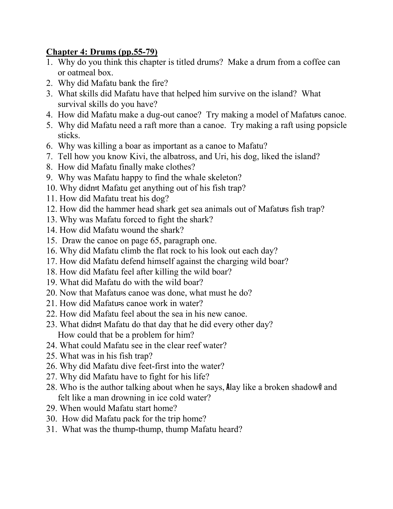## **Chapter 4: Drums (pp.55-79)**

- 1. Why do you think this chapter is titled drums? Make a drum from a coffee can or oatmeal box.
- 2. Why did Mafatu bank the fire?
- 3. What skills did Mafatu have that helped him survive on the island? What survival skills do you have?
- 4. How did Mafatu make a dug-out canoe? Try making a model of Mafatu=s canoe.
- 5. Why did Mafatu need a raft more than a canoe. Try making a raft using popsicle sticks.
- 6. Why was killing a boar as important as a canoe to Mafatu?
- 7. Tell how you know Kivi, the albatross, and Uri, his dog, liked the island?
- 8. How did Mafatu finally make clothes?
- 9. Why was Mafatu happy to find the whale skeleton?
- 10. Why didn=t Mafatu get anything out of his fish trap?
- 11. How did Mafatu treat his dog?
- 12. How did the hammer head shark get sea animals out of Mafatu=s fish trap?
- 13. Why was Mafatu forced to fight the shark?
- 14. How did Mafatu wound the shark?
- 15. Draw the canoe on page 65, paragraph one.
- 16. Why did Mafatu climb the flat rock to his look out each day?
- 17. How did Mafatu defend himself against the charging wild boar?
- 18. How did Mafatu feel after killing the wild boar?
- 19. What did Mafatu do with the wild boar?
- 20. Now that Mafatu=s canoe was done, what must he do?
- 21. How did Mafatu=s canoe work in water?
- 22. How did Mafatu feel about the sea in his new canoe.
- 23. What didn=t Mafatu do that day that he did every other day? How could that be a problem for him?
- 24. What could Mafatu see in the clear reef water?
- 25. What was in his fish trap?
- 26. Why did Mafatu dive feet-first into the water?
- 27. Why did Mafatu have to fight for his life?
- 28. Who is the author talking about when he says, Alay like a broken shadow@ and felt like a man drowning in ice cold water?
- 29. When would Mafatu start home?
- 30. How did Mafatu pack for the trip home?
- 31. What was the thump-thump, thump Mafatu heard?